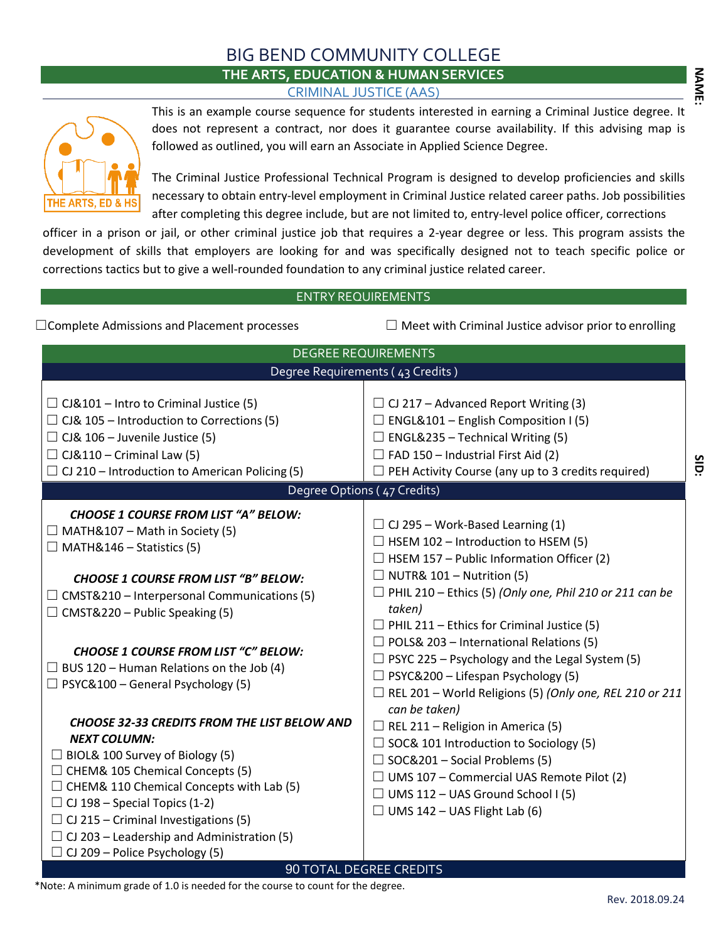# BIG BEND COMMUNITY COLLEGE **THE ARTS, EDUCATION & HUMAN SERVICES** CRIMINAL JUSTICE (AAS)



This is an example course sequence for students interested in earning a Criminal Justice degree. It does not represent a contract, nor does it guarantee course availability. If this advising map is followed as outlined, you will earn an Associate in Applied Science Degree.

The Criminal Justice Professional Technical Program is designed to develop proficiencies and skills necessary to obtain entry-level employment in Criminal Justice related career paths. Job possibilities after completing this degree include, but are not limited to, entry-level police officer, corrections

officer in a prison or jail, or other criminal justice job that requires a 2-year degree or less. This program assists the development of skills that employers are looking for and was specifically designed not to teach specific police or corrections tactics but to give a well-rounded foundation to any criminal justice related career.

### ENTRY REQUIREMENTS

☐Complete Admissions and Placement processes ☐ Meet with Criminal Justice advisor prior to enrolling

| Degree Requirements (43 Credits)                                                                                                                                                                                                                                                                                                                                                                                                                                                                                                                                                                      |
|-------------------------------------------------------------------------------------------------------------------------------------------------------------------------------------------------------------------------------------------------------------------------------------------------------------------------------------------------------------------------------------------------------------------------------------------------------------------------------------------------------------------------------------------------------------------------------------------------------|
|                                                                                                                                                                                                                                                                                                                                                                                                                                                                                                                                                                                                       |
| $\Box$ CJ 217 – Advanced Report Writing (3)<br>$\Box$ ENGL&101 – English Composition I (5)<br>$\Box$ ENGL&235 – Technical Writing (5)<br>$\Box$ FAD 150 - Industrial First Aid (2)<br>$\Box$ PEH Activity Course (any up to 3 credits required)<br>Degree Options (47 Credits)                                                                                                                                                                                                                                                                                                                        |
| $\Box$ CJ 295 – Work-Based Learning (1)<br>$\Box$ HSEM 102 – Introduction to HSEM (5)<br>$\Box$ HSEM 157 – Public Information Officer (2)<br>$\Box$ NUTR& 101 – Nutrition (5)<br>$\Box$ PHIL 210 – Ethics (5) (Only one, Phil 210 or 211 can be<br>taken)<br>$\Box$ PHIL 211 – Ethics for Criminal Justice (5)<br>$\Box$ POLS& 203 – International Relations (5)<br>$\Box$ PSYC 225 – Psychology and the Legal System (5)<br>$\Box$ PSYC&200 - Lifespan Psychology (5)<br>$\Box$ REL 201 – World Religions (5) (Only one, REL 210 or 211<br>can be taken)<br>$\Box$ REL 211 – Religion in America (5) |
| $\Box$ SOC& 101 Introduction to Sociology (5)<br>$\Box$ SOC&201 – Social Problems (5)<br>$\Box$ UMS 107 – Commercial UAS Remote Pilot (2)<br>$\Box$ UMS 112 – UAS Ground School I (5)<br>$\Box$ UMS 142 – UAS Flight Lab (6)<br>90 TOTAL DEGREE CREDITS                                                                                                                                                                                                                                                                                                                                               |
|                                                                                                                                                                                                                                                                                                                                                                                                                                                                                                                                                                                                       |

\*Note: A minimum grade of 1.0 is needed for the course to count for the degree.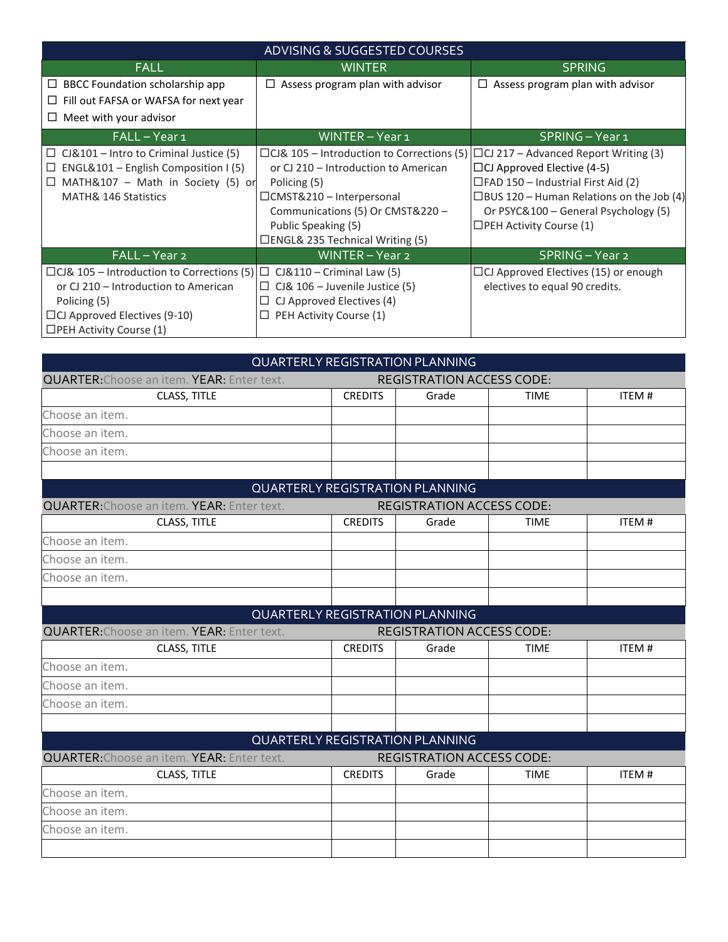| ADVISING & SUGGESTED COURSES                                                                                                                                                                                |                                                                                                                                                                                                                                            |                                                                                                                                                                                                                                                            |  |
|-------------------------------------------------------------------------------------------------------------------------------------------------------------------------------------------------------------|--------------------------------------------------------------------------------------------------------------------------------------------------------------------------------------------------------------------------------------------|------------------------------------------------------------------------------------------------------------------------------------------------------------------------------------------------------------------------------------------------------------|--|
| <b>FALL</b>                                                                                                                                                                                                 | WINTER                                                                                                                                                                                                                                     | <b>SPRING</b>                                                                                                                                                                                                                                              |  |
| BBCC Foundation scholarship app<br>ш                                                                                                                                                                        | Assess program plan with advisor<br>⊔                                                                                                                                                                                                      | Assess program plan with advisor<br>⊔                                                                                                                                                                                                                      |  |
| Fill out FAFSA or WAFSA for next year<br>⊔                                                                                                                                                                  |                                                                                                                                                                                                                                            |                                                                                                                                                                                                                                                            |  |
| Meet with your advisor<br>⊔                                                                                                                                                                                 |                                                                                                                                                                                                                                            |                                                                                                                                                                                                                                                            |  |
| FALL-Year1                                                                                                                                                                                                  | WINTER - Year 1                                                                                                                                                                                                                            | SPRING - Year 1                                                                                                                                                                                                                                            |  |
| CJ&101 – Intro to Criminal Justice (5)<br>⊔<br>ENGL&101 – English Composition I (5)<br>□<br>$\Box$ MATH&107 – Math in Society (5) or<br><b>MATH&amp; 146 Statistics</b>                                     | $\Box$ CJ& 105 – Introduction to Corrections (5)<br>or CJ 210 - Introduction to American<br>Policing (5)<br>□CMST&210 - Interpersonal<br>Communications (5) Or CMST&220 -<br>Public Speaking (5)<br>$\Box$ ENGL& 235 Technical Writing (5) | $\Box$ CJ 217 – Advanced Report Writing (3)<br>$\Box$ CJ Approved Elective (4-5)<br>$\Box$ FAD 150 – Industrial First Aid (2)<br>$\Box$ BUS 120 – Human Relations on the Job (4)<br>Or PSYC&100 – General Psychology (5)<br>$\Box$ PEH Activity Course (1) |  |
| FALL-Year 2                                                                                                                                                                                                 | WINTER - Year 2                                                                                                                                                                                                                            | SPRING - Year 2                                                                                                                                                                                                                                            |  |
| □CJ& 105 – Introduction to Corrections $(5)$ □ CJ&110 – Criminal Law $(5)$<br>or CJ 210 - Introduction to American<br>Policing (5)<br>$\Box$ CJ Approved Electives (9-10)<br>$\Box$ PEH Activity Course (1) | $\Box$ CJ& 106 – Juvenile Justice (5)<br>$\Box$ CJ Approved Electives (4)<br>$\Box$ PEH Activity Course (1)                                                                                                                                | $\Box$ CJ Approved Electives (15) or enough<br>electives to equal 90 credits.                                                                                                                                                                              |  |

| QUARTERLY REGISTRATION PLANNING                                                       |                                  |                                        |             |              |
|---------------------------------------------------------------------------------------|----------------------------------|----------------------------------------|-------------|--------------|
| <b>QUARTER: Choose an item. YEAR: Enter text.</b><br><b>REGISTRATION ACCESS CODE:</b> |                                  |                                        |             |              |
| CLASS, TITLE                                                                          | <b>CREDITS</b>                   | Grade                                  | <b>TIME</b> | <b>ITEM#</b> |
| Choose an item.                                                                       |                                  |                                        |             |              |
| Choose an item.                                                                       |                                  |                                        |             |              |
| Choose an item.                                                                       |                                  |                                        |             |              |
|                                                                                       |                                  |                                        |             |              |
|                                                                                       |                                  | QUARTERLY REGISTRATION PLANNING        |             |              |
| <b>QUARTER: Choose an item. YEAR: Enter text.</b>                                     | <b>REGISTRATION ACCESS CODE:</b> |                                        |             |              |
| CLASS, TITLE                                                                          | <b>CREDITS</b>                   | Grade                                  | <b>TIME</b> | <b>ITEM#</b> |
| Choose an item.                                                                       |                                  |                                        |             |              |
| Choose an item.                                                                       |                                  |                                        |             |              |
| Choose an item.                                                                       |                                  |                                        |             |              |
|                                                                                       |                                  |                                        |             |              |
|                                                                                       |                                  | QUARTERLY REGISTRATION PLANNING        |             |              |
| <b>QUARTER: Choose an item. YEAR: Enter text.</b>                                     |                                  | <b>REGISTRATION ACCESS CODE:</b>       |             |              |
| CLASS, TITLE                                                                          | <b>CREDITS</b>                   | Grade                                  | <b>TIME</b> | ITEM#        |
| Choose an item.                                                                       |                                  |                                        |             |              |
| Choose an item.                                                                       |                                  |                                        |             |              |
| Choose an item.                                                                       |                                  |                                        |             |              |
|                                                                                       |                                  |                                        |             |              |
|                                                                                       |                                  | <b>QUARTERLY REGISTRATION PLANNING</b> |             |              |
| <b>QUARTER: Choose an item. YEAR: Enter text.</b>                                     | <b>REGISTRATION ACCESS CODE:</b> |                                        |             |              |
| CLASS, TITLE                                                                          | <b>CREDITS</b>                   | Grade                                  | <b>TIME</b> | ITEM#        |
| Choose an item.                                                                       |                                  |                                        |             |              |
| Choose an item.                                                                       |                                  |                                        |             |              |
| Choose an item.                                                                       |                                  |                                        |             |              |
|                                                                                       |                                  |                                        |             |              |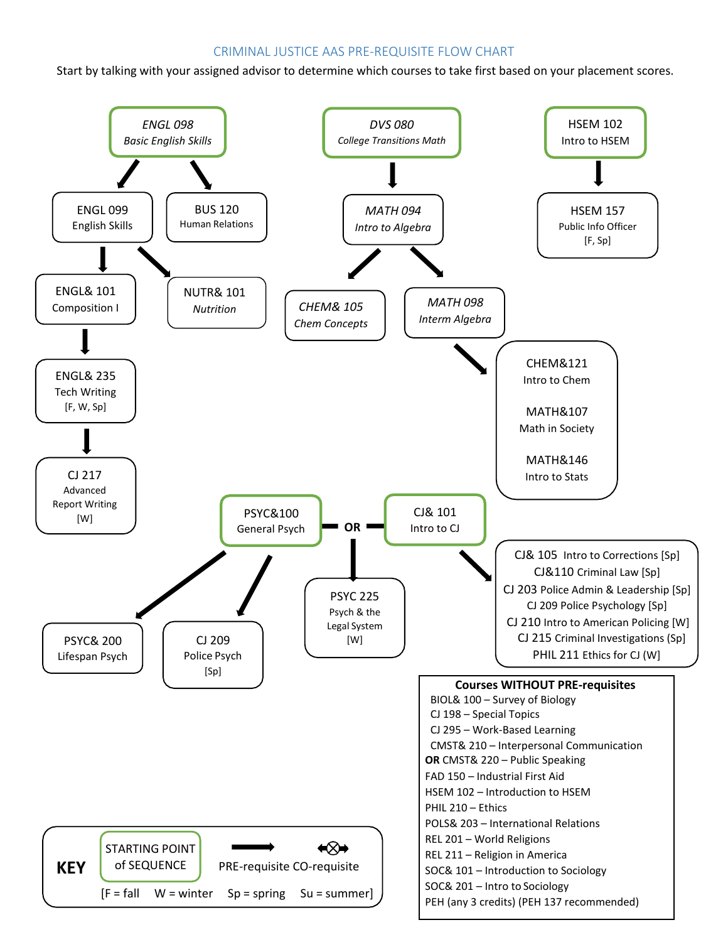## CRIMINAL JUSTICE AAS PRE-REQUISITE FLOW CHART

Start by talking with your assigned advisor to determine which courses to take first based on your placement scores.